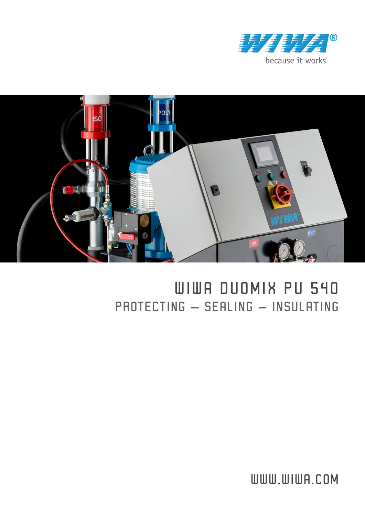



## WIWA DUOMIX PU 540 PROTECTING – SEALING – INSULATING

WWW.WIWA.COM